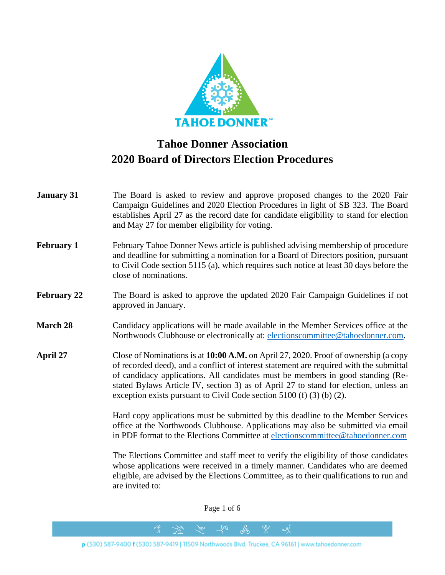

## **Tahoe Donner Association 2020 Board of Directors Election Procedures**

| <b>January 31</b>  | The Board is asked to review and approve proposed changes to the 2020 Fair<br>Campaign Guidelines and 2020 Election Procedures in light of SB 323. The Board<br>establishes April 27 as the record date for candidate eligibility to stand for election<br>and May 27 for member eligibility for voting.                                                                                                                             |
|--------------------|--------------------------------------------------------------------------------------------------------------------------------------------------------------------------------------------------------------------------------------------------------------------------------------------------------------------------------------------------------------------------------------------------------------------------------------|
| <b>February 1</b>  | February Tahoe Donner News article is published advising membership of procedure<br>and deadline for submitting a nomination for a Board of Directors position, pursuant<br>to Civil Code section 5115 (a), which requires such notice at least 30 days before the<br>close of nominations.                                                                                                                                          |
| <b>February 22</b> | The Board is asked to approve the updated 2020 Fair Campaign Guidelines if not<br>approved in January.                                                                                                                                                                                                                                                                                                                               |
| <b>March 28</b>    | Candidacy applications will be made available in the Member Services office at the<br>Northwoods Clubhouse or electronically at: electionscommittee@tahoedonner.com.                                                                                                                                                                                                                                                                 |
| April 27           | Close of Nominations is at 10:00 A.M. on April 27, 2020. Proof of ownership (a copy<br>of recorded deed), and a conflict of interest statement are required with the submittal<br>of candidacy applications. All candidates must be members in good standing (Re-<br>stated Bylaws Article IV, section 3) as of April 27 to stand for election, unless an<br>exception exists pursuant to Civil Code section $5100$ (f) (3) (b) (2). |
|                    | Hard copy applications must be submitted by this deadline to the Member Services<br>office at the Northwoods Clubhouse. Applications may also be submitted via email<br>in PDF format to the Elections Committee at elections committee@tahoedonner.com                                                                                                                                                                              |
|                    | The Elections Committee and staff meet to verify the eligibility of those candidates<br>whose applications were received in a timely manner. Candidates who are deemed<br>eligible, are advised by the Elections Committee, as to their qualifications to run and<br>are invited to:                                                                                                                                                 |

Page 1 of 6

 $281$ 

 $\rightarrow$ 

ුද්ත

 $x^*$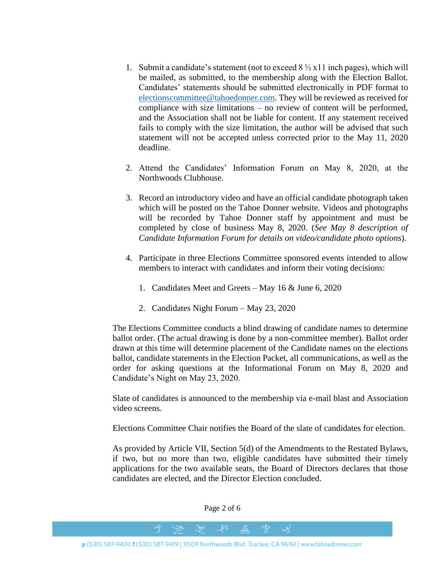- 1. Submit a candidate's statement (not to exceed  $8\frac{1}{2}$  x11 inch pages), which will be mailed, as submitted, to the membership along with the Election Ballot. Candidates' statements should be submitted electronically in PDF format to [electionscommittee@tahoedonner.com.](mailto:electionscommittee@tahoedonner.com) They will be reviewed as received for compliance with size limitations – no review of content will be performed, and the Association shall not be liable for content. If any statement received fails to comply with the size limitation, the author will be advised that such statement will not be accepted unless corrected prior to the May 11, 2020 deadline.
- 2. Attend the Candidates' Information Forum on May 8, 2020, at the Northwoods Clubhouse.
- 3. Record an introductory video and have an official candidate photograph taken which will be posted on the Tahoe Donner website. Videos and photographs will be recorded by Tahoe Donner staff by appointment and must be completed by close of business May 8, 2020. (*See May 8 description of Candidate Information Forum for details on video/candidate photo options*).
- 4. Participate in three Elections Committee sponsored events intended to allow members to interact with candidates and inform their voting decisions:
	- 1. Candidates Meet and Greets May 16 & June 6, 2020
	- 2. Candidates Night Forum May 23, 2020

The Elections Committee conducts a blind drawing of candidate names to determine ballot order. (The actual drawing is done by a non-committee member). Ballot order drawn at this time will determine placement of the Candidate names on the elections ballot, candidate statements in the Election Packet, all communications, as well as the order for asking questions at the Informational Forum on May 8, 2020 and Candidate's Night on May 23, 2020.

Slate of candidates is announced to the membership via e-mail blast and Association video screens.

Elections Committee Chair notifies the Board of the slate of candidates for election.

As provided by Article VII, Section 5(d) of the Amendments to the Restated Bylaws, if two, but no more than two, eligible candidates have submitted their timely applications for the two available seats, the Board of Directors declares that those candidates are elected, and the Director Election concluded.

 $281$  $\mathcal{C}$  $\Im$  $\alpha$ p (530) 587-9400 f (530) 587-9419 | 11509 Northwoods Blvd. Truckee, CA 96161 | www.tahoedonner.com

Page 2 of 6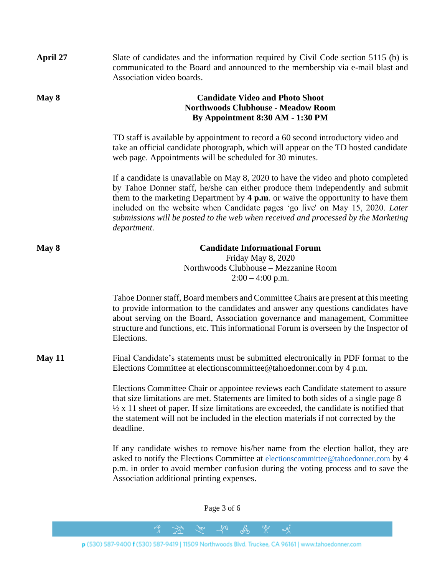| April 27 | Slate of candidates and the information required by Civil Code section 5115 (b) is<br>communicated to the Board and announced to the membership via e-mail blast and<br>Association video boards.                                                                                                                                                                                                                                                |
|----------|--------------------------------------------------------------------------------------------------------------------------------------------------------------------------------------------------------------------------------------------------------------------------------------------------------------------------------------------------------------------------------------------------------------------------------------------------|
| May 8    | <b>Candidate Video and Photo Shoot</b><br><b>Northwoods Clubhouse - Meadow Room</b><br>By Appointment 8:30 AM - 1:30 PM                                                                                                                                                                                                                                                                                                                          |
|          | TD staff is available by appointment to record a 60 second introductory video and<br>take an official candidate photograph, which will appear on the TD hosted candidate<br>web page. Appointments will be scheduled for 30 minutes.                                                                                                                                                                                                             |
|          | If a candidate is unavailable on May 8, 2020 to have the video and photo completed<br>by Tahoe Donner staff, he/she can either produce them independently and submit<br>them to the marketing Department by $4 p.m.$ or waive the opportunity to have them<br>included on the website when Candidate pages 'go live' on May 15, 2020. Later<br>submissions will be posted to the web when received and processed by the Marketing<br>department. |
| May 8    | <b>Candidate Informational Forum</b><br>Friday May 8, 2020<br>Northwoods Clubhouse - Mezzanine Room<br>$2:00 - 4:00$ p.m.                                                                                                                                                                                                                                                                                                                        |
|          | Tahoe Donner staff, Board members and Committee Chairs are present at this meeting<br>to provide information to the candidates and answer any questions candidates have<br>about serving on the Board, Association governance and management, Committee<br>structure and functions, etc. This informational Forum is overseen by the Inspector of<br>Elections.                                                                                  |
| May $11$ | Final Candidate's statements must be submitted electronically in PDF format to the<br>Elections Committee at elections committee@tahoedonner.com by 4 p.m.                                                                                                                                                                                                                                                                                       |
|          | Elections Committee Chair or appointee reviews each Candidate statement to assure<br>that size limitations are met. Statements are limited to both sides of a single page 8<br>$\frac{1}{2}$ x 11 sheet of paper. If size limitations are exceeded, the candidate is notified that<br>the statement will not be included in the election materials if not corrected by the<br>deadline.                                                          |
|          | If any candidate wishes to remove his/her name from the election ballot, they are<br>asked to notify the Elections Committee at electionscommittee@tahoedonner.com by 4<br>p.m. in order to avoid member confusion during the voting process and to save the<br>Association additional printing expenses.                                                                                                                                        |

Page 3 of 6

to for

 $\frac{1}{2}$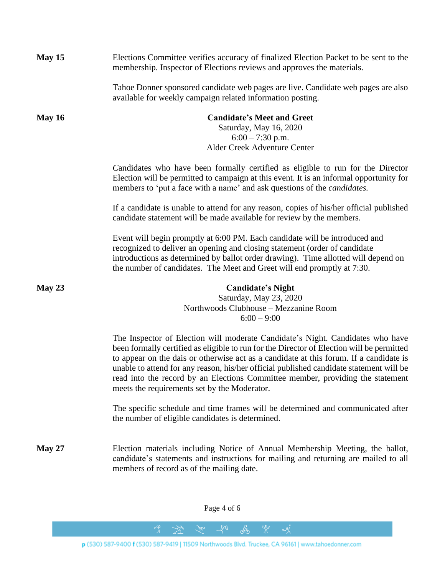| May 15        | Elections Committee verifies accuracy of finalized Election Packet to be sent to the<br>membership. Inspector of Elections reviews and approves the materials.                                                                                                                                                                                                                                                                                                                                     |
|---------------|----------------------------------------------------------------------------------------------------------------------------------------------------------------------------------------------------------------------------------------------------------------------------------------------------------------------------------------------------------------------------------------------------------------------------------------------------------------------------------------------------|
|               | Tahoe Donner sponsored candidate web pages are live. Candidate web pages are also<br>available for weekly campaign related information posting.                                                                                                                                                                                                                                                                                                                                                    |
| <b>May 16</b> | <b>Candidate's Meet and Greet</b><br>Saturday, May 16, 2020<br>$6:00 - 7:30$ p.m.<br>Alder Creek Adventure Center                                                                                                                                                                                                                                                                                                                                                                                  |
|               | Candidates who have been formally certified as eligible to run for the Director<br>Election will be permitted to campaign at this event. It is an informal opportunity for<br>members to 'put a face with a name' and ask questions of the <i>candidates</i> .                                                                                                                                                                                                                                     |
|               | If a candidate is unable to attend for any reason, copies of his/her official published<br>candidate statement will be made available for review by the members.                                                                                                                                                                                                                                                                                                                                   |
|               | Event will begin promptly at 6:00 PM. Each candidate will be introduced and<br>recognized to deliver an opening and closing statement (order of candidate<br>introductions as determined by ballot order drawing). Time allotted will depend on<br>the number of candidates. The Meet and Greet will end promptly at 7:30.                                                                                                                                                                         |
| May $23$      | <b>Candidate's Night</b><br>Saturday, May 23, 2020<br>Northwoods Clubhouse - Mezzanine Room<br>$6:00 - 9:00$                                                                                                                                                                                                                                                                                                                                                                                       |
|               | The Inspector of Election will moderate Candidate's Night. Candidates who have<br>been formally certified as eligible to run for the Director of Election will be permitted<br>to appear on the dais or otherwise act as a candidate at this forum. If a candidate is<br>unable to attend for any reason, his/her official published candidate statement will be<br>read into the record by an Elections Committee member, providing the statement<br>meets the requirements set by the Moderator. |
|               | The specific schedule and time frames will be determined and communicated after<br>the number of eligible candidates is determined.                                                                                                                                                                                                                                                                                                                                                                |
| <b>May 27</b> | Election materials including Notice of Annual Membership Meeting, the ballot,<br>candidate's statements and instructions for mailing and returning are mailed to all<br>members of record as of the mailing date.                                                                                                                                                                                                                                                                                  |

Page 4 of 6

to for

 $\frac{1}{2}$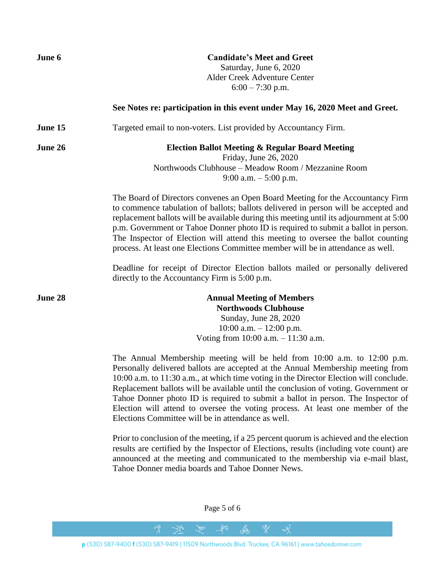| June 6  | <b>Candidate's Meet and Greet</b><br>Saturday, June 6, 2020<br>Alder Creek Adventure Center<br>$6:00 - 7:30$ p.m.                                                                                                                                                                                                                                                                                                                                                                                                                                                        |
|---------|--------------------------------------------------------------------------------------------------------------------------------------------------------------------------------------------------------------------------------------------------------------------------------------------------------------------------------------------------------------------------------------------------------------------------------------------------------------------------------------------------------------------------------------------------------------------------|
|         | See Notes re: participation in this event under May 16, 2020 Meet and Greet.                                                                                                                                                                                                                                                                                                                                                                                                                                                                                             |
| June 15 | Targeted email to non-voters. List provided by Accountancy Firm.                                                                                                                                                                                                                                                                                                                                                                                                                                                                                                         |
| June 26 | <b>Election Ballot Meeting &amp; Regular Board Meeting</b><br>Friday, June 26, 2020<br>Northwoods Clubhouse - Meadow Room / Mezzanine Room<br>9:00 a.m. $-5:00$ p.m.                                                                                                                                                                                                                                                                                                                                                                                                     |
|         | The Board of Directors convenes an Open Board Meeting for the Accountancy Firm<br>to commence tabulation of ballots; ballots delivered in person will be accepted and<br>replacement ballots will be available during this meeting until its adjournment at 5:00<br>p.m. Government or Tahoe Donner photo ID is required to submit a ballot in person.<br>The Inspector of Election will attend this meeting to oversee the ballot counting<br>process. At least one Elections Committee member will be in attendance as well.                                           |
|         | Deadline for receipt of Director Election ballots mailed or personally delivered<br>directly to the Accountancy Firm is 5:00 p.m.                                                                                                                                                                                                                                                                                                                                                                                                                                        |
| June 28 | <b>Annual Meeting of Members</b><br><b>Northwoods Clubhouse</b><br>Sunday, June 28, 2020<br>10:00 a.m. $- 12:00$ p.m.<br>Voting from $10:00$ a.m. $-11:30$ a.m.                                                                                                                                                                                                                                                                                                                                                                                                          |
|         | The Annual Membership meeting will be held from 10:00 a.m. to 12:00 p.m.<br>Personally delivered ballots are accepted at the Annual Membership meeting from<br>10:00 a.m. to 11:30 a.m., at which time voting in the Director Election will conclude.<br>Replacement ballots will be available until the conclusion of voting. Government or<br>Tahoe Donner photo ID is required to submit a ballot in person. The Inspector of<br>Election will attend to oversee the voting process. At least one member of the<br>Elections Committee will be in attendance as well. |
|         | Prior to conclusion of the meeting, if a 25 percent quorum is achieved and the election<br>results are certified by the Inspector of Elections, results (including vote count) are<br>announced at the meeting and communicated to the membership via e-mail blast,<br>Tahoe Donner media boards and Tahoe Donner News.                                                                                                                                                                                                                                                  |
|         |                                                                                                                                                                                                                                                                                                                                                                                                                                                                                                                                                                          |

Page 5 of 6

to for

 $\frac{1}{2}$